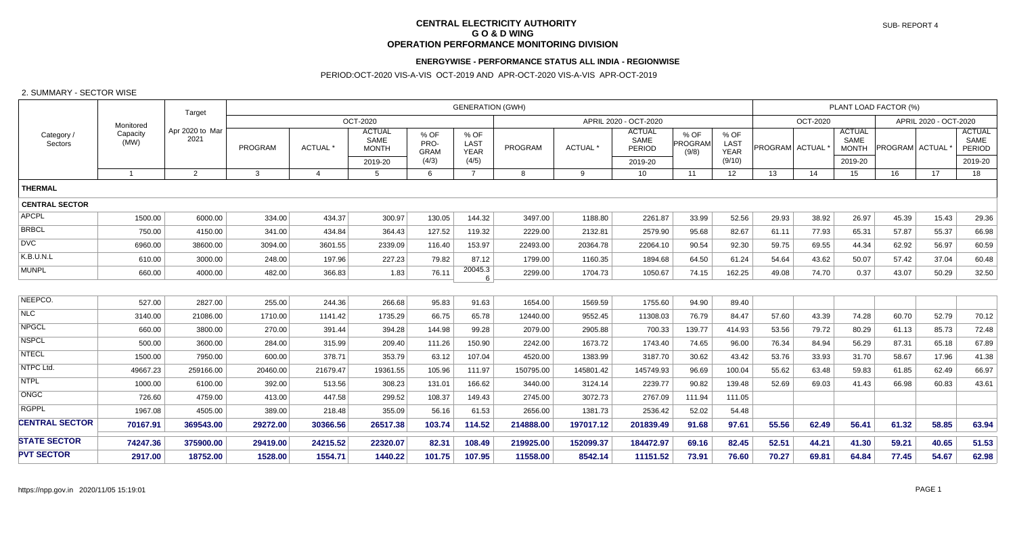# **CENTRAL ELECTRICITY AUTHORITY G O & D WING OPERATION PERFORMANCE MONITORING DIVISION**

## **ENERGYWISE - PERFORMANCE STATUS ALL INDIA - REGIONWISE**

## PERIOD:OCT-2020 VIS-A-VIS OCT-2019 AND APR-OCT-2020 VIS-A-VIS APR-OCT-2019

#### 2. SUMMARY - SECTOR WISE

|                       |                  | Target<br>Apr 2020 to Mar<br>2021 | <b>GENERATION (GWH)</b> |                     |                                       |                             |                             |           |           |                                 |                            |                             |                |          |                                       | PLANT LOAD FACTOR (%) |       | <b>ACTUAL</b><br>SAME<br><b>PERIOD</b><br>2019-20<br>18<br>43.61 |  |  |  |
|-----------------------|------------------|-----------------------------------|-------------------------|---------------------|---------------------------------------|-----------------------------|-----------------------------|-----------|-----------|---------------------------------|----------------------------|-----------------------------|----------------|----------|---------------------------------------|-----------------------|-------|------------------------------------------------------------------|--|--|--|
| Category /<br>Sectors | Monitored        |                                   | OCT-2020                |                     |                                       |                             |                             |           |           | APRIL 2020 - OCT-2020           |                            |                             |                | OCT-2020 |                                       | APRIL 2020 - OCT-2020 |       |                                                                  |  |  |  |
|                       | Capacity<br>(MW) |                                   | PROGRAM                 | ACTUAL <sup>*</sup> | <b>ACTUAL</b><br>SAME<br><b>MONTH</b> | % OF<br>PRO-<br><b>GRAM</b> | % OF<br>LAST<br><b>YEAR</b> | PROGRAM   | ACTUAL *  | <b>ACTUAL</b><br>SAME<br>PERIOD | $%$ OF<br>PROGRAM<br>(9/8) | % OF<br>LAST<br><b>YEAR</b> | PROGRAM ACTUAL |          | <b>ACTUAL</b><br>SAME<br><b>MONTH</b> | <b>PROGRAM ACTUAL</b> |       |                                                                  |  |  |  |
|                       |                  |                                   |                         |                     | 2019-20                               | (4/3)                       | (4/5)                       |           |           | 2019-20                         |                            | (9/10)                      |                |          | 2019-20                               |                       |       |                                                                  |  |  |  |
|                       | $\overline{1}$   | $\overline{2}$                    | 3                       | $\overline{4}$      | 5                                     | 6                           | $\overline{7}$              | 8         | 9         | 10                              | 11                         | 12                          | 13             | 14       | 15                                    | 16                    | 17    |                                                                  |  |  |  |
| <b>THERMAL</b>        |                  |                                   |                         |                     |                                       |                             |                             |           |           |                                 |                            |                             |                |          |                                       |                       |       |                                                                  |  |  |  |
| <b>CENTRAL SECTOR</b> |                  |                                   |                         |                     |                                       |                             |                             |           |           |                                 |                            |                             |                |          |                                       |                       |       |                                                                  |  |  |  |
| <b>APCPL</b>          | 1500.00          | 6000.00                           | 334.00                  | 434.37              | 300.97                                | 130.05                      | 144.32                      | 3497.00   | 1188.80   | 2261.87                         | 33.99                      | 52.56                       | 29.93          | 38.92    | 26.97                                 | 45.39                 | 15.43 | 29.36                                                            |  |  |  |
| <b>BRBCL</b>          | 750.00           | 4150.00                           | 341.00                  | 434.84              | 364.43                                | 127.52                      | 119.32                      | 2229.00   | 2132.81   | 2579.90                         | 95.68                      | 82.67                       | 61.11          | 77.93    | 65.31                                 | 57.87                 | 55.37 | 66.98                                                            |  |  |  |
| <b>DVC</b>            | 6960.00          | 38600.00                          | 3094.00                 | 3601.55             | 2339.09                               | 116.40                      | 153.97                      | 22493.00  | 20364.78  | 22064.10                        | 90.54                      | 92.30                       | 59.75          | 69.55    | 44.34                                 | 62.92                 | 56.97 | 60.59                                                            |  |  |  |
| K.B.U.N.L             | 610.00           | 3000.00                           | 248.00                  | 197.96              | 227.23                                | 79.82                       | 87.12                       | 1799.00   | 1160.35   | 1894.68                         | 64.50                      | 61.24                       | 54.64          | 43.62    | 50.07                                 | 57.42                 | 37.04 | 60.48                                                            |  |  |  |
| <b>MUNPL</b>          | 660.00           | 4000.00                           | 482.00                  | 366.83              | 1.83                                  | 76.11                       | 20045.3<br>6                | 2299.00   | 1704.73   | 1050.67                         | 74.15                      | 162.25                      | 49.08          | 74.70    | 0.37                                  | 43.07                 | 50.29 | 32.50                                                            |  |  |  |
|                       |                  |                                   |                         |                     |                                       |                             |                             |           |           |                                 |                            |                             |                |          |                                       |                       |       |                                                                  |  |  |  |
| NEEPCO.               | 527.00           | 2827.00                           | 255.00                  | 244.36              | 266.68                                | 95.83                       | 91.63                       | 1654.00   | 1569.59   | 1755.60                         | 94.90                      | 89.40                       |                |          |                                       |                       |       |                                                                  |  |  |  |
| <b>NLC</b>            | 3140.00          | 21086.00                          | 1710.00                 | 1141.42             | 1735.29                               | 66.75                       | 65.78                       | 12440.00  | 9552.45   | 11308.03                        | 76.79                      | 84.47                       | 57.60          | 43.39    | 74.28                                 | 60.70                 | 52.79 | 70.12                                                            |  |  |  |
| <b>NPGCL</b>          | 660.00           | 3800.00                           | 270.00                  | 391.44              | 394.28                                | 144.98                      | 99.28                       | 2079.00   | 2905.88   | 700.33                          | 139.77                     | 414.93                      | 53.56          | 79.72    | 80.29                                 | 61.13                 | 85.73 | 72.48                                                            |  |  |  |
| <b>NSPCL</b>          | 500.00           | 3600.00                           | 284.00                  | 315.99              | 209.40                                | 111.26                      | 150.90                      | 2242.00   | 1673.72   | 1743.40                         | 74.65                      | 96.00                       | 76.34          | 84.94    | 56.29                                 | 87.31                 | 65.18 | 67.89                                                            |  |  |  |
| <b>NTECL</b>          | 1500.00          | 7950.00                           | 600.00                  | 378.71              | 353.79                                | 63.12                       | 107.04                      | 4520.00   | 1383.99   | 3187.70                         | 30.62                      | 43.42                       | 53.76          | 33.93    | 31.70                                 | 58.67                 | 17.96 | 41.38                                                            |  |  |  |
| NTPC Ltd.             | 49667.23         | 259166.00                         | 20460.00                | 21679.47            | 19361.55                              | 105.96                      | 111.97                      | 150795.00 | 145801.42 | 145749.93                       | 96.69                      | 100.04                      | 55.62          | 63.48    | 59.83                                 | 61.85                 | 62.49 | 66.97                                                            |  |  |  |
| <b>NTPL</b>           | 1000.00          | 6100.00                           | 392.00                  | 513.56              | 308.23                                | 131.01                      | 166.62                      | 3440.00   | 3124.14   | 2239.77                         | 90.82                      | 139.48                      | 52.69          | 69.03    | 41.43                                 | 66.98                 | 60.83 |                                                                  |  |  |  |
| ONGC                  | 726.60           | 4759.00                           | 413.00                  | 447.58              | 299.52                                | 108.37                      | 149.43                      | 2745.00   | 3072.73   | 2767.09                         | 111.94                     | 111.05                      |                |          |                                       |                       |       |                                                                  |  |  |  |
| <b>RGPPL</b>          | 1967.08          | 4505.00                           | 389.00                  | 218.48              | 355.09                                | 56.16                       | 61.53                       | 2656.00   | 1381.73   | 2536.42                         | 52.02                      | 54.48                       |                |          |                                       |                       |       |                                                                  |  |  |  |
| <b>CENTRAL SECTOR</b> | 70167.91         | 369543.00                         | 29272.00                | 30366.56            | 26517.38                              | 103.74                      | 114.52                      | 214888.00 | 197017.12 | 201839.49                       | 91.68                      | 97.61                       | 55.56          | 62.49    | 56.41                                 | 61.32                 | 58.85 | 63.94                                                            |  |  |  |
| <b>STATE SECTOR</b>   | 74247.36         | 375900.00                         | 29419.00                | 24215.52            | 22320.07                              | 82.31                       | 108.49                      | 219925.00 | 152099.37 | 184472.97                       | 69.16                      | 82.45                       | 52.51          | 44.21    | 41.30                                 | 59.21                 | 40.65 | 51.53                                                            |  |  |  |
| <b>PVT SECTOR</b>     | 2917.00          | 18752.00                          | 1528.00                 | 1554.71             | 1440.22                               | 101.75                      | 107.95                      | 11558.00  | 8542.14   | 11151.52                        | 73.91                      | 76.60                       | 70.27          | 69.81    | 64.84                                 | 77.45                 | 54.67 | 62.98                                                            |  |  |  |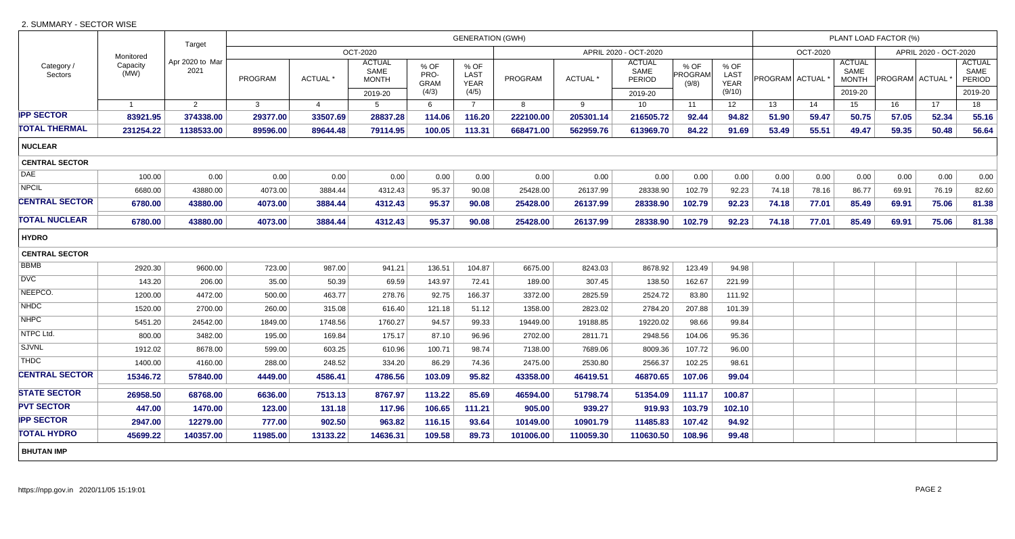## 2. SUMMARY - SECTOR WISE

|                       |                  | Target                  | <b>GENERATION (GWH)</b> |                 |                                       |                             |                             |                |                     |                                 |                          |                             |                             |          |                                       | PLANT LOAD FACTOR (%) |       | <b>ACTUAL</b><br>SAME<br>PERIOD<br>2019-20<br>18<br>55.16<br>56.64<br>0.00<br>82.60<br>81.38<br>81.38 |  |  |  |  |
|-----------------------|------------------|-------------------------|-------------------------|-----------------|---------------------------------------|-----------------------------|-----------------------------|----------------|---------------------|---------------------------------|--------------------------|-----------------------------|-----------------------------|----------|---------------------------------------|-----------------------|-------|-------------------------------------------------------------------------------------------------------|--|--|--|--|
|                       | Monitored        |                         | OCT-2020                |                 |                                       |                             |                             |                |                     | APRIL 2020 - OCT-2020           |                          |                             |                             | OCT-2020 |                                       | APRIL 2020 - OCT-2020 |       |                                                                                                       |  |  |  |  |
| Category /<br>Sectors | Capacity<br>(MW) | Apr 2020 to Mar<br>2021 | PROGRAM                 | <b>ACTUAL *</b> | <b>ACTUAL</b><br>SAME<br><b>MONTH</b> | % OF<br>PRO-<br><b>GRAM</b> | % OF<br>LAST<br><b>YEAR</b> | <b>PROGRAM</b> | ACTUAL <sup>*</sup> | <b>ACTUAL</b><br>SAME<br>PERIOD | % OF<br>PROGRAM<br>(9/8) | % OF<br>LAST<br><b>YEAR</b> | PROGRAM ACTUAL <sup>'</sup> |          | <b>ACTUAL</b><br>SAME<br><b>MONTH</b> | PROGRAM ACTUAL        |       |                                                                                                       |  |  |  |  |
|                       |                  |                         |                         |                 | 2019-20                               | (4/3)                       | (4/5)                       |                |                     | 2019-20                         |                          | (9/10)                      |                             |          | 2019-20                               |                       |       |                                                                                                       |  |  |  |  |
|                       | $\overline{1}$   | 2                       | $\mathbf{3}$            | $\overline{4}$  | $5^{\circ}$                           | 6                           | $\overline{7}$              | 8              | 9                   | 10                              | 11                       | 12                          | 13                          | 14       | 15                                    | 16                    | 17    |                                                                                                       |  |  |  |  |
| <b>IPP SECTOR</b>     | 83921.95         | 374338.00               | 29377.00                | 33507.69        | 28837.28                              | 114.06                      | 116.20                      | 222100.00      | 205301.14           | 216505.72                       | 92.44                    | 94.82                       | 51.90                       | 59.47    | 50.75                                 | 57.05                 | 52.34 |                                                                                                       |  |  |  |  |
| TOTAL THERMAL         | 231254.22        | 1138533.00              | 89596.00                | 89644.48        | 79114.95                              | 100.05                      | 113.31                      | 668471.00      | 562959.76           | 613969.70                       | 84.22                    | 91.69                       | 53.49                       | 55.51    | 49.47                                 | 59.35                 | 50.48 |                                                                                                       |  |  |  |  |
| <b>NUCLEAR</b>        |                  |                         |                         |                 |                                       |                             |                             |                |                     |                                 |                          |                             |                             |          |                                       |                       |       |                                                                                                       |  |  |  |  |
| <b>CENTRAL SECTOR</b> |                  |                         |                         |                 |                                       |                             |                             |                |                     |                                 |                          |                             |                             |          |                                       |                       |       |                                                                                                       |  |  |  |  |
| <b>DAE</b>            | 100.00           | 0.00                    | 0.00                    | 0.00            | 0.00                                  | 0.00                        | 0.00                        | 0.00           | 0.00                | 0.00                            | 0.00                     | 0.00                        | 0.00                        | 0.00     | 0.00                                  | 0.00                  | 0.00  |                                                                                                       |  |  |  |  |
| <b>NPCIL</b>          | 6680.00          | 43880.00                | 4073.00                 | 3884.44         | 4312.43                               | 95.37                       | 90.08                       | 25428.00       | 26137.99            | 28338.90                        | 102.79                   | 92.23                       | 74.18                       | 78.16    | 86.77                                 | 69.91                 | 76.19 |                                                                                                       |  |  |  |  |
| <b>CENTRAL SECTOR</b> | 6780.00          | 43880.00                | 4073.00                 | 3884.44         | 4312.43                               | 95.37                       | 90.08                       | 25428.00       | 26137.99            | 28338.90                        | 102.79                   | 92.23                       | 74.18                       | 77.01    | 85.49                                 | 69.91                 | 75.06 |                                                                                                       |  |  |  |  |
| TOTAL NUCLEAR         | 6780.00          | 43880.00                | 4073.00                 | 3884.44         | 4312.43                               | 95.37                       | 90.08                       | 25428.00       | 26137.99            | 28338.90                        | 102.79                   | 92.23                       | 74.18                       | 77.01    | 85.49                                 | 69.91                 | 75.06 |                                                                                                       |  |  |  |  |
| <b>HYDRO</b>          |                  |                         |                         |                 |                                       |                             |                             |                |                     |                                 |                          |                             |                             |          |                                       |                       |       |                                                                                                       |  |  |  |  |
| <b>CENTRAL SECTOR</b> |                  |                         |                         |                 |                                       |                             |                             |                |                     |                                 |                          |                             |                             |          |                                       |                       |       |                                                                                                       |  |  |  |  |
| <b>BBMB</b>           | 2920.30          | 9600.00                 | 723.00                  | 987.00          | 941.21                                | 136.51                      | 104.87                      | 6675.00        | 8243.03             | 8678.92                         | 123.49                   | 94.98                       |                             |          |                                       |                       |       |                                                                                                       |  |  |  |  |
| <b>DVC</b>            | 143.20           | 206.00                  | 35.00                   | 50.39           | 69.59                                 | 143.97                      | 72.41                       | 189.00         | 307.45              | 138.50                          | 162.67                   | 221.99                      |                             |          |                                       |                       |       |                                                                                                       |  |  |  |  |
| NEEPCO.               | 1200.00          | 4472.00                 | 500.00                  | 463.77          | 278.76                                | 92.75                       | 166.37                      | 3372.00        | 2825.59             | 2524.72                         | 83.80                    | 111.92                      |                             |          |                                       |                       |       |                                                                                                       |  |  |  |  |
| <b>NHDC</b>           | 1520.00          | 2700.00                 | 260.00                  | 315.08          | 616.40                                | 121.18                      | 51.12                       | 1358.00        | 2823.02             | 2784.20                         | 207.88                   | 101.39                      |                             |          |                                       |                       |       |                                                                                                       |  |  |  |  |
| <b>NHPC</b>           | 5451.20          | 24542.00                | 1849.00                 | 1748.56         | 1760.27                               | 94.57                       | 99.33                       | 19449.00       | 19188.85            | 19220.02                        | 98.66                    | 99.84                       |                             |          |                                       |                       |       |                                                                                                       |  |  |  |  |
| NTPC Ltd.             | 800.00           | 3482.00                 | 195.00                  | 169.84          | 175.17                                | 87.10                       | 96.96                       | 2702.00        | 2811.71             | 2948.56                         | 104.06                   | 95.36                       |                             |          |                                       |                       |       |                                                                                                       |  |  |  |  |
| <b>SJVNL</b>          | 1912.02          | 8678.00                 | 599.00                  | 603.25          | 610.96                                | 100.71                      | 98.74                       | 7138.00        | 7689.06             | 8009.36                         | 107.72                   | 96.00                       |                             |          |                                       |                       |       |                                                                                                       |  |  |  |  |
| <b>THDC</b>           | 1400.00          | 4160.00                 | 288.00                  | 248.52          | 334.20                                | 86.29                       | 74.36                       | 2475.00        | 2530.80             | 2566.37                         | 102.25                   | 98.61                       |                             |          |                                       |                       |       |                                                                                                       |  |  |  |  |
| <b>CENTRAL SECTOR</b> | 15346.72         | 57840.00                | 4449.00                 | 4586.41         | 4786.56                               | 103.09                      | 95.82                       | 43358.00       | 46419.51            | 46870.65                        | 107.06                   | 99.04                       |                             |          |                                       |                       |       |                                                                                                       |  |  |  |  |
| <b>STATE SECTOR</b>   | 26958.50         | 68768.00                | 6636.00                 | 7513.13         | 8767.97                               | 113.22                      | 85.69                       | 46594.00       | 51798.74            | 51354.09                        | 111.17                   | 100.87                      |                             |          |                                       |                       |       |                                                                                                       |  |  |  |  |
| <b>PVT SECTOR</b>     | 447.00           | 1470.00                 | 123.00                  | 131.18          | 117.96                                | 106.65                      | 111.21                      | 905.00         | 939.27              | 919.93                          | 103.79                   | 102.10                      |                             |          |                                       |                       |       |                                                                                                       |  |  |  |  |
| <b>IPP SECTOR</b>     | 2947.00          | 12279.00                | 777.00                  | 902.50          | 963.82                                | 116.15                      | 93.64                       | 10149.00       | 10901.79            | 11485.83                        | 107.42                   | 94.92                       |                             |          |                                       |                       |       |                                                                                                       |  |  |  |  |
| <b>TOTAL HYDRO</b>    | 45699.22         | 140357.00               | 11985.00                | 13133.22        | 14636.31                              | 109.58                      | 89.73                       | 101006.00      | 110059.30           | 110630.50                       | 108.96                   | 99.48                       |                             |          |                                       |                       |       |                                                                                                       |  |  |  |  |
| <b>BHUTAN IMP</b>     |                  |                         |                         |                 |                                       |                             |                             |                |                     |                                 |                          |                             |                             |          |                                       |                       |       |                                                                                                       |  |  |  |  |
|                       |                  |                         |                         |                 |                                       |                             |                             |                |                     |                                 |                          |                             |                             |          |                                       |                       |       |                                                                                                       |  |  |  |  |